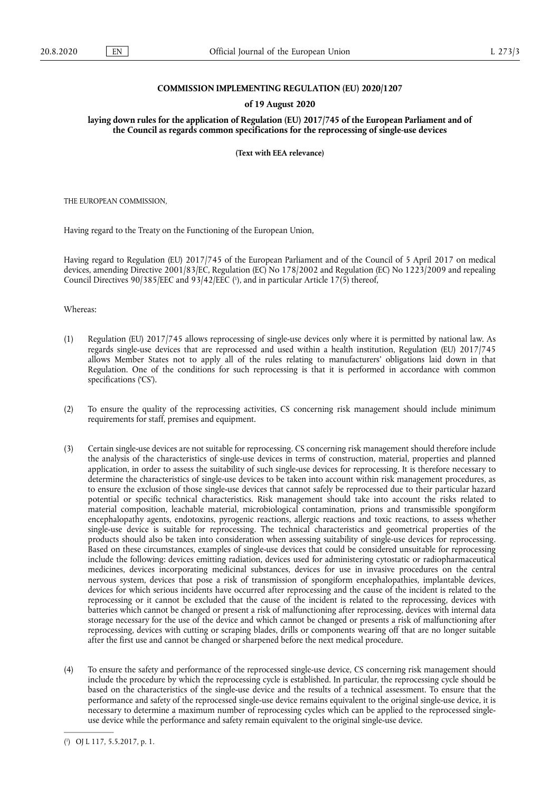## **COMMISSION IMPLEMENTING REGULATION (EU) 2020/1207**

#### **of 19 August 2020**

**laying down rules for the application of Regulation (EU) 2017/745 of the European Parliament and of the Council as regards common specifications for the reprocessing of single-use devices** 

**(Text with EEA relevance)** 

THE EUROPEAN COMMISSION,

Having regard to the Treaty on the Functioning of the European Union,

Having regard to Regulation (EU) 2017/745 of the European Parliament and of the Council of 5 April 2017 on medical devices, amending Directive 2001/83/EC, Regulation (EC) No 178/2002 and Regulation (EC) No 1223/2009 and repealing Council Directives 90/385/EEC and 93/42/EEC (<sup>1</sup>), and in particular Article 17(5) thereof,

Whereas:

- (1) Regulation (EU) 2017/745 allows reprocessing of single-use devices only where it is permitted by national law. As regards single-use devices that are reprocessed and used within a health institution, Regulation (EU) 2017/745 allows Member States not to apply all of the rules relating to manufacturers' obligations laid down in that Regulation. One of the conditions for such reprocessing is that it is performed in accordance with common specifications ('CS').
- (2) To ensure the quality of the reprocessing activities, CS concerning risk management should include minimum requirements for staff, premises and equipment.
- (3) Certain single-use devices are not suitable for reprocessing. CS concerning risk management should therefore include the analysis of the characteristics of single-use devices in terms of construction, material, properties and planned application, in order to assess the suitability of such single-use devices for reprocessing. It is therefore necessary to determine the characteristics of single-use devices to be taken into account within risk management procedures, as to ensure the exclusion of those single-use devices that cannot safely be reprocessed due to their particular hazard potential or specific technical characteristics. Risk management should take into account the risks related to material composition, leachable material, microbiological contamination, prions and transmissible spongiform encephalopathy agents, endotoxins, pyrogenic reactions, allergic reactions and toxic reactions, to assess whether single-use device is suitable for reprocessing. The technical characteristics and geometrical properties of the products should also be taken into consideration when assessing suitability of single-use devices for reprocessing. Based on these circumstances, examples of single-use devices that could be considered unsuitable for reprocessing include the following: devices emitting radiation, devices used for administering cytostatic or radiopharmaceutical medicines, devices incorporating medicinal substances, devices for use in invasive procedures on the central nervous system, devices that pose a risk of transmission of spongiform encephalopathies, implantable devices, devices for which serious incidents have occurred after reprocessing and the cause of the incident is related to the reprocessing or it cannot be excluded that the cause of the incident is related to the reprocessing, devices with batteries which cannot be changed or present a risk of malfunctioning after reprocessing, devices with internal data storage necessary for the use of the device and which cannot be changed or presents a risk of malfunctioning after reprocessing, devices with cutting or scraping blades, drills or components wearing off that are no longer suitable after the first use and cannot be changed or sharpened before the next medical procedure.
- (4) To ensure the safety and performance of the reprocessed single-use device, CS concerning risk management should include the procedure by which the reprocessing cycle is established. In particular, the reprocessing cycle should be based on the characteristics of the single-use device and the results of a technical assessment. To ensure that the performance and safety of the reprocessed single-use device remains equivalent to the original single-use device, it is necessary to determine a maximum number of reprocessing cycles which can be applied to the reprocessed singleuse device while the performance and safety remain equivalent to the original single-use device.

<sup>(</sup> 1 ) OJ L 117, 5.5.2017, p. 1.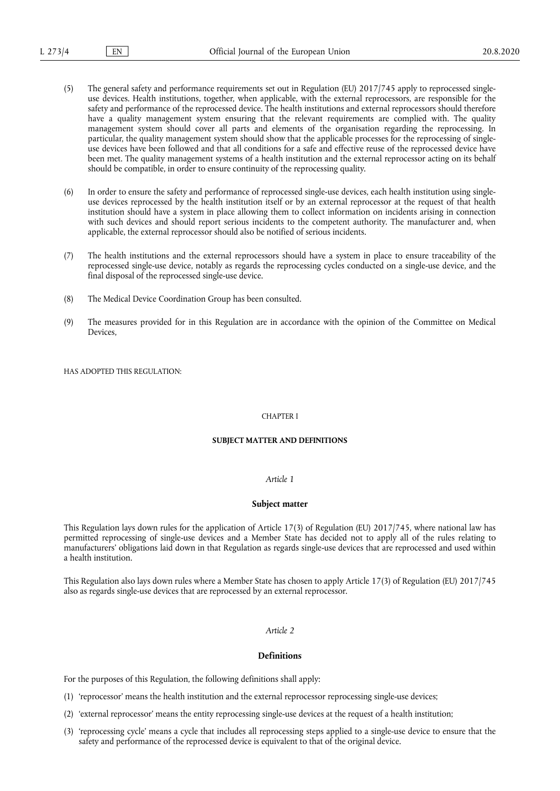- (5) The general safety and performance requirements set out in Regulation (EU) 2017/745 apply to reprocessed singleuse devices. Health institutions, together, when applicable, with the external reprocessors, are responsible for the safety and performance of the reprocessed device. The health institutions and external reprocessors should therefore have a quality management system ensuring that the relevant requirements are complied with. The quality management system should cover all parts and elements of the organisation regarding the reprocessing. In particular, the quality management system should show that the applicable processes for the reprocessing of singleuse devices have been followed and that all conditions for a safe and effective reuse of the reprocessed device have been met. The quality management systems of a health institution and the external reprocessor acting on its behalf should be compatible, in order to ensure continuity of the reprocessing quality.
- (6) In order to ensure the safety and performance of reprocessed single-use devices, each health institution using singleuse devices reprocessed by the health institution itself or by an external reprocessor at the request of that health institution should have a system in place allowing them to collect information on incidents arising in connection with such devices and should report serious incidents to the competent authority. The manufacturer and, when applicable, the external reprocessor should also be notified of serious incidents.
- (7) The health institutions and the external reprocessors should have a system in place to ensure traceability of the reprocessed single-use device, notably as regards the reprocessing cycles conducted on a single-use device, and the final disposal of the reprocessed single-use device.
- (8) The Medical Device Coordination Group has been consulted.
- (9) The measures provided for in this Regulation are in accordance with the opinion of the Committee on Medical Devices,

HAS ADOPTED THIS REGULATION:

#### CHAPTER I

#### **SUBJECT MATTER AND DEFINITIONS**

#### *Article 1*

#### **Subject matter**

This Regulation lays down rules for the application of Article 17(3) of Regulation (EU) 2017/745, where national law has permitted reprocessing of single-use devices and a Member State has decided not to apply all of the rules relating to manufacturers' obligations laid down in that Regulation as regards single-use devices that are reprocessed and used within a health institution.

This Regulation also lays down rules where a Member State has chosen to apply Article 17(3) of Regulation (EU) 2017/745 also as regards single-use devices that are reprocessed by an external reprocessor.

# *Article 2*

# **Definitions**

For the purposes of this Regulation, the following definitions shall apply:

- (1) 'reprocessor' means the health institution and the external reprocessor reprocessing single-use devices;
- (2) 'external reprocessor' means the entity reprocessing single-use devices at the request of a health institution;
- (3) 'reprocessing cycle' means a cycle that includes all reprocessing steps applied to a single-use device to ensure that the safety and performance of the reprocessed device is equivalent to that of the original device.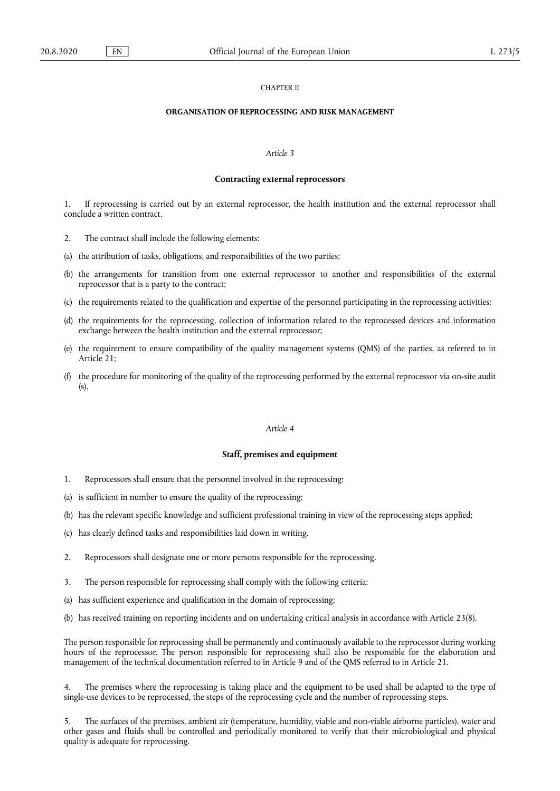## CHAPTER II

## **ORGANISATION OF REPROCESSING AND RISK MANAGEMENT**

## *Article 3*

#### **Contracting external reprocessors**

1. If reprocessing is carried out by an external reprocessor, the health institution and the external reprocessor shall conclude a written contract.

- 2. The contract shall include the following elements:
- (a) the attribution of tasks, obligations, and responsibilities of the two parties;
- (b) the arrangements for transition from one external reprocessor to another and responsibilities of the external reprocessor that is a party to the contract;
- (c) the requirements related to the qualification and expertise of the personnel participating in the reprocessing activities;
- (d) the requirements for the reprocessing, collection of information related to the reprocessed devices and information exchange between the health institution and the external reprocessor;
- (e) the requirement to ensure compatibility of the quality management systems (QMS) of the parties, as referred to in Article<sup>21:</sup>
- (f) the procedure for monitoring of the quality of the reprocessing performed by the external reprocessor via on-site audit (s).

# *Article 4*

#### **Staff, premises and equipment**

- 1. Reprocessors shall ensure that the personnel involved in the reprocessing:
- (a) is sufficient in number to ensure the quality of the reprocessing;
- (b) has the relevant specific knowledge and sufficient professional training in view of the reprocessing steps applied;
- (c) has clearly defined tasks and responsibilities laid down in writing.
- 2. Reprocessors shall designate one or more persons responsible for the reprocessing.
- 3. The person responsible for reprocessing shall comply with the following criteria:
- (a) has sufficient experience and qualification in the domain of reprocessing;
- (b) has received training on reporting incidents and on undertaking critical analysis in accordance with Article 23(8).

The person responsible for reprocessing shall be permanently and continuously available to the reprocessor during working hours of the reprocessor. The person responsible for reprocessing shall also be responsible for the elaboration and management of the technical documentation referred to in Article 9 and of the QMS referred to in Article 21.

4. The premises where the reprocessing is taking place and the equipment to be used shall be adapted to the type of single-use devices to be reprocessed, the steps of the reprocessing cycle and the number of reprocessing steps.

5. The surfaces of the premises, ambient air (temperature, humidity, viable and non-viable airborne particles), water and other gases and fluids shall be controlled and periodically monitored to verify that their microbiological and physical quality is adequate for reprocessing.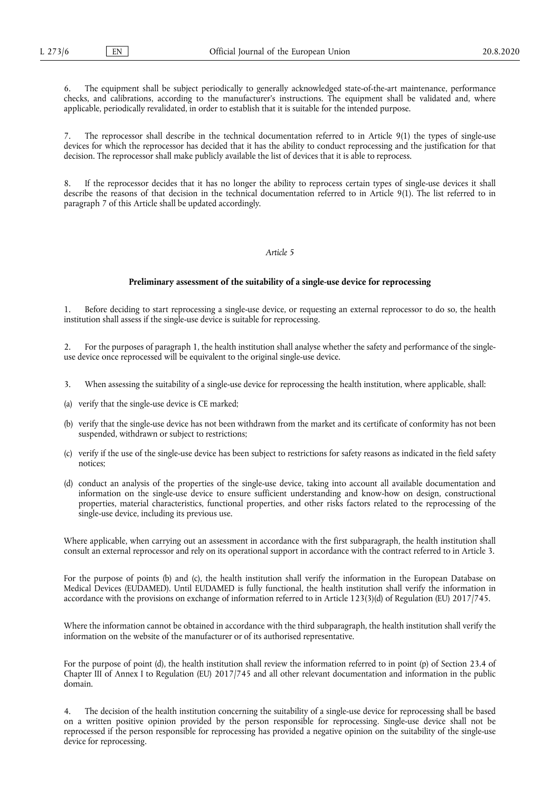The equipment shall be subject periodically to generally acknowledged state-of-the-art maintenance, performance checks, and calibrations, according to the manufacturer's instructions. The equipment shall be validated and, where applicable, periodically revalidated, in order to establish that it is suitable for the intended purpose.

The reprocessor shall describe in the technical documentation referred to in Article 9(1) the types of single-use devices for which the reprocessor has decided that it has the ability to conduct reprocessing and the justification for that decision. The reprocessor shall make publicly available the list of devices that it is able to reprocess.

If the reprocessor decides that it has no longer the ability to reprocess certain types of single-use devices it shall describe the reasons of that decision in the technical documentation referred to in Article 9(1). The list referred to in paragraph 7 of this Article shall be updated accordingly.

#### *Article 5*

#### **Preliminary assessment of the suitability of a single-use device for reprocessing**

1. Before deciding to start reprocessing a single-use device, or requesting an external reprocessor to do so, the health institution shall assess if the single-use device is suitable for reprocessing.

2. For the purposes of paragraph 1, the health institution shall analyse whether the safety and performance of the singleuse device once reprocessed will be equivalent to the original single-use device.

- 3. When assessing the suitability of a single-use device for reprocessing the health institution, where applicable, shall:
- (a) verify that the single-use device is CE marked;
- (b) verify that the single-use device has not been withdrawn from the market and its certificate of conformity has not been suspended, withdrawn or subject to restrictions;
- (c) verify if the use of the single-use device has been subject to restrictions for safety reasons as indicated in the field safety notices;
- (d) conduct an analysis of the properties of the single-use device, taking into account all available documentation and information on the single-use device to ensure sufficient understanding and know-how on design, constructional properties, material characteristics, functional properties, and other risks factors related to the reprocessing of the single-use device, including its previous use.

Where applicable, when carrying out an assessment in accordance with the first subparagraph, the health institution shall consult an external reprocessor and rely on its operational support in accordance with the contract referred to in Article 3.

For the purpose of points (b) and (c), the health institution shall verify the information in the European Database on Medical Devices (EUDAMED). Until EUDAMED is fully functional, the health institution shall verify the information in accordance with the provisions on exchange of information referred to in Article 123(3)(d) of Regulation (EU) 2017/745.

Where the information cannot be obtained in accordance with the third subparagraph, the health institution shall verify the information on the website of the manufacturer or of its authorised representative.

For the purpose of point (d), the health institution shall review the information referred to in point (p) of Section 23.4 of Chapter III of Annex I to Regulation (EU) 2017/745 and all other relevant documentation and information in the public domain.

4. The decision of the health institution concerning the suitability of a single-use device for reprocessing shall be based on a written positive opinion provided by the person responsible for reprocessing. Single-use device shall not be reprocessed if the person responsible for reprocessing has provided a negative opinion on the suitability of the single-use device for reprocessing.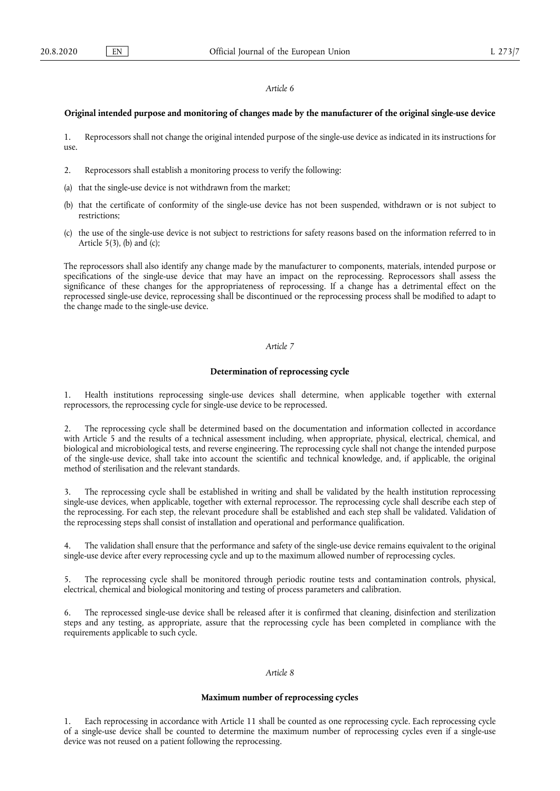#### **Original intended purpose and monitoring of changes made by the manufacturer of the original single-use device**

1. Reprocessors shall not change the original intended purpose of the single-use device as indicated in its instructions for use.

- 2. Reprocessors shall establish a monitoring process to verify the following:
- (a) that the single-use device is not withdrawn from the market;
- (b) that the certificate of conformity of the single-use device has not been suspended, withdrawn or is not subject to restrictions;
- (c) the use of the single-use device is not subject to restrictions for safety reasons based on the information referred to in Article  $5(3)$ , (b) and (c);

The reprocessors shall also identify any change made by the manufacturer to components, materials, intended purpose or specifications of the single-use device that may have an impact on the reprocessing. Reprocessors shall assess the significance of these changes for the appropriateness of reprocessing. If a change has a detrimental effect on the reprocessed single-use device, reprocessing shall be discontinued or the reprocessing process shall be modified to adapt to the change made to the single-use device.

## *Article 7*

## **Determination of reprocessing cycle**

1. Health institutions reprocessing single-use devices shall determine, when applicable together with external reprocessors, the reprocessing cycle for single-use device to be reprocessed.

2. The reprocessing cycle shall be determined based on the documentation and information collected in accordance with Article 5 and the results of a technical assessment including, when appropriate, physical, electrical, chemical, and biological and microbiological tests, and reverse engineering. The reprocessing cycle shall not change the intended purpose of the single-use device, shall take into account the scientific and technical knowledge, and, if applicable, the original method of sterilisation and the relevant standards.

3. The reprocessing cycle shall be established in writing and shall be validated by the health institution reprocessing single-use devices, when applicable, together with external reprocessor. The reprocessing cycle shall describe each step of the reprocessing. For each step, the relevant procedure shall be established and each step shall be validated. Validation of the reprocessing steps shall consist of installation and operational and performance qualification.

4. The validation shall ensure that the performance and safety of the single-use device remains equivalent to the original single-use device after every reprocessing cycle and up to the maximum allowed number of reprocessing cycles.

The reprocessing cycle shall be monitored through periodic routine tests and contamination controls, physical, electrical, chemical and biological monitoring and testing of process parameters and calibration.

6. The reprocessed single-use device shall be released after it is confirmed that cleaning, disinfection and sterilization steps and any testing, as appropriate, assure that the reprocessing cycle has been completed in compliance with the requirements applicable to such cycle.

## *Article 8*

## **Maximum number of reprocessing cycles**

Each reprocessing in accordance with Article 11 shall be counted as one reprocessing cycle. Each reprocessing cycle of a single-use device shall be counted to determine the maximum number of reprocessing cycles even if a single-use device was not reused on a patient following the reprocessing.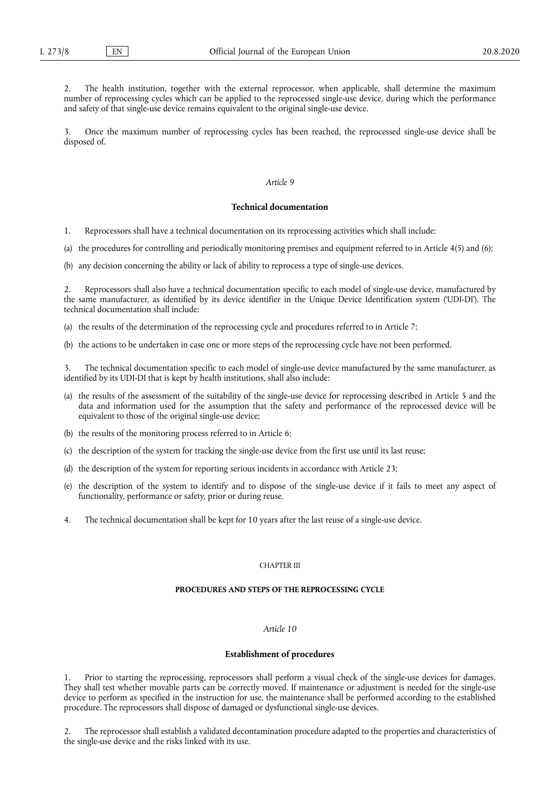2. The health institution, together with the external reprocessor, when applicable, shall determine the maximum number of reprocessing cycles which can be applied to the reprocessed single-use device*,* during which the performance and safety of that single-use device remains equivalent to the original single-use device.

3. Once the maximum number of reprocessing cycles has been reached, the reprocessed single-use device shall be disposed of.

# *Article 9*

## **Technical documentation**

1. Reprocessors shall have a technical documentation on its reprocessing activities which shall include:

(a) the procedures for controlling and periodically monitoring premises and equipment referred to in Article 4(5) and (6);

(b) any decision concerning the ability or lack of ability to reprocess a type of single-use devices.

Reprocessors shall also have a technical documentation specific to each model of single-use device, manufactured by the same manufacturer, as identified by its device identifier in the Unique Device Identification system ('UDI-DI'). The technical documentation shall include:

(a) the results of the determination of the reprocessing cycle and procedures referred to in Article 7;

(b) the actions to be undertaken in case one or more steps of the reprocessing cycle have not been performed.

The technical documentation specific to each model of single-use device manufactured by the same manufacturer, as identified by its UDI-DI that is kept by health institutions, shall also include:

- (a) the results of the assessment of the suitability of the single-use device for reprocessing described in Article 5 and the data and information used for the assumption that the safety and performance of the reprocessed device will be equivalent to those of the original single-use device;
- (b) the results of the monitoring process referred to in Article 6;
- (c) the description of the system for tracking the single-use device from the first use until its last reuse;
- (d) the description of the system for reporting serious incidents in accordance with Article 23;
- (e) the description of the system to identify and to dispose of the single-use device if it fails to meet any aspect of functionality, performance or safety, prior or during reuse.
- 4. The technical documentation shall be kept for 10 years after the last reuse of a single-use device.

## CHAPTER III

## **PROCEDURES AND STEPS OF THE REPROCESSING CYCLE**

## *Article 10*

# **Establishment of procedures**

1. Prior to starting the reprocessing, reprocessors shall perform a visual check of the single-use devices for damages. They shall test whether movable parts can be correctly moved. If maintenance or adjustment is needed for the single-use device to perform as specified in the instruction for use, the maintenance shall be performed according to the established procedure. The reprocessors shall dispose of damaged or dysfunctional single-use devices.

2. The reprocessor shall establish a validated decontamination procedure adapted to the properties and characteristics of the single-use device and the risks linked with its use.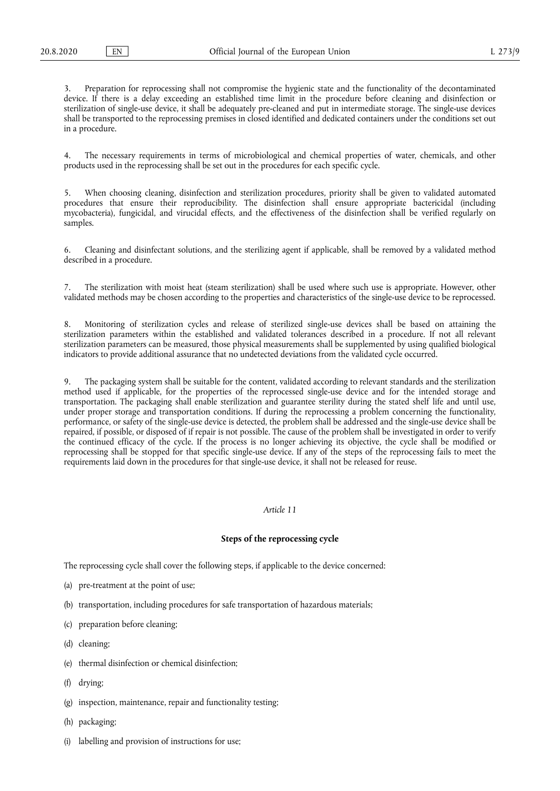3. Preparation for reprocessing shall not compromise the hygienic state and the functionality of the decontaminated device. If there is a delay exceeding an established time limit in the procedure before cleaning and disinfection or sterilization of single-use device, it shall be adequately pre-cleaned and put in intermediate storage. The single-use devices shall be transported to the reprocessing premises in closed identified and dedicated containers under the conditions set out in a procedure.

4. The necessary requirements in terms of microbiological and chemical properties of water, chemicals, and other products used in the reprocessing shall be set out in the procedures for each specific cycle.

5. When choosing cleaning, disinfection and sterilization procedures, priority shall be given to validated automated procedures that ensure their reproducibility. The disinfection shall ensure appropriate bactericidal (including mycobacteria), fungicidal, and virucidal effects, and the effectiveness of the disinfection shall be verified regularly on samples.

6. Cleaning and disinfectant solutions, and the sterilizing agent if applicable, shall be removed by a validated method described in a procedure.

7. The sterilization with moist heat (steam sterilization) shall be used where such use is appropriate. However, other validated methods may be chosen according to the properties and characteristics of the single-use device to be reprocessed.

8. Monitoring of sterilization cycles and release of sterilized single-use devices shall be based on attaining the sterilization parameters within the established and validated tolerances described in a procedure. If not all relevant sterilization parameters can be measured, those physical measurements shall be supplemented by using qualified biological indicators to provide additional assurance that no undetected deviations from the validated cycle occurred.

9. The packaging system shall be suitable for the content, validated according to relevant standards and the sterilization method used if applicable, for the properties of the reprocessed single-use device and for the intended storage and transportation. The packaging shall enable sterilization and guarantee sterility during the stated shelf life and until use, under proper storage and transportation conditions. If during the reprocessing a problem concerning the functionality, performance, or safety of the single-use device is detected, the problem shall be addressed and the single-use device shall be repaired, if possible, or disposed of if repair is not possible. The cause of the problem shall be investigated in order to verify the continued efficacy of the cycle. If the process is no longer achieving its objective, the cycle shall be modified or reprocessing shall be stopped for that specific single-use device. If any of the steps of the reprocessing fails to meet the requirements laid down in the procedures for that single-use device, it shall not be released for reuse.

# *Article 11*

## **Steps of the reprocessing cycle**

The reprocessing cycle shall cover the following steps, if applicable to the device concerned:

- (a) pre-treatment at the point of use;
- (b) transportation, including procedures for safe transportation of hazardous materials;
- (c) preparation before cleaning;
- (d) cleaning;
- (e) thermal disinfection or chemical disinfection;
- (f) drying;
- (g) inspection, maintenance, repair and functionality testing;
- (h) packaging;
- (i) labelling and provision of instructions for use;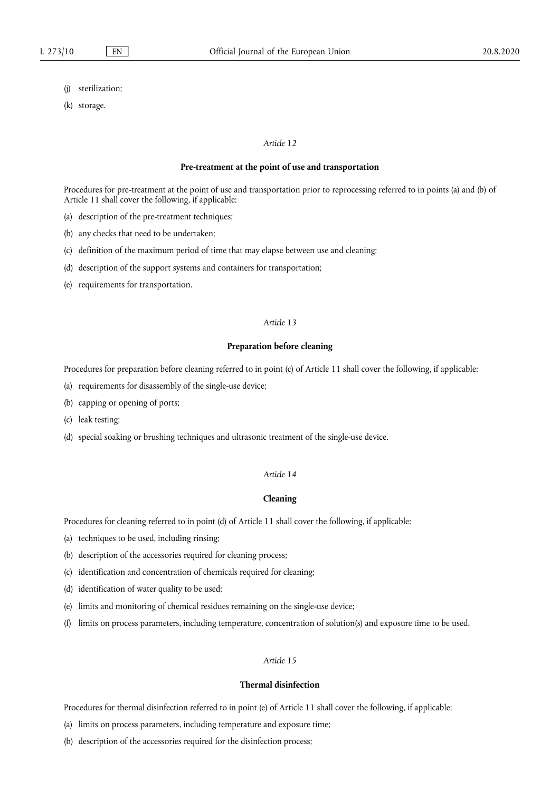- (j) sterilization;
- (k) storage.

### **Pre-treatment at the point of use and transportation**

Procedures for pre-treatment at the point of use and transportation prior to reprocessing referred to in points (a) and (b) of Article 11 shall cover the following, if applicable:

- (a) description of the pre-treatment techniques;
- (b) any checks that need to be undertaken;
- (c) definition of the maximum period of time that may elapse between use and cleaning;
- (d) description of the support systems and containers for transportation;
- (e) requirements for transportation.

## *Article 13*

## **Preparation before cleaning**

Procedures for preparation before cleaning referred to in point (c) of Article 11 shall cover the following, if applicable:

- (a) requirements for disassembly of the single-use device;
- (b) capping or opening of ports;
- (c) leak testing;
- (d) special soaking or brushing techniques and ultrasonic treatment of the single-use device.

#### *Article 14*

## **Cleaning**

Procedures for cleaning referred to in point (d) of Article 11 shall cover the following, if applicable:

- (a) techniques to be used, including rinsing;
- (b) description of the accessories required for cleaning process;
- (c) identification and concentration of chemicals required for cleaning;
- (d) identification of water quality to be used;
- (e) limits and monitoring of chemical residues remaining on the single-use device;
- (f) limits on process parameters, including temperature, concentration of solution(s) and exposure time to be used.

# *Article 15*

# **Thermal disinfection**

Procedures for thermal disinfection referred to in point (e) of Article 11 shall cover the following, if applicable:

- (a) limits on process parameters, including temperature and exposure time;
- (b) description of the accessories required for the disinfection process;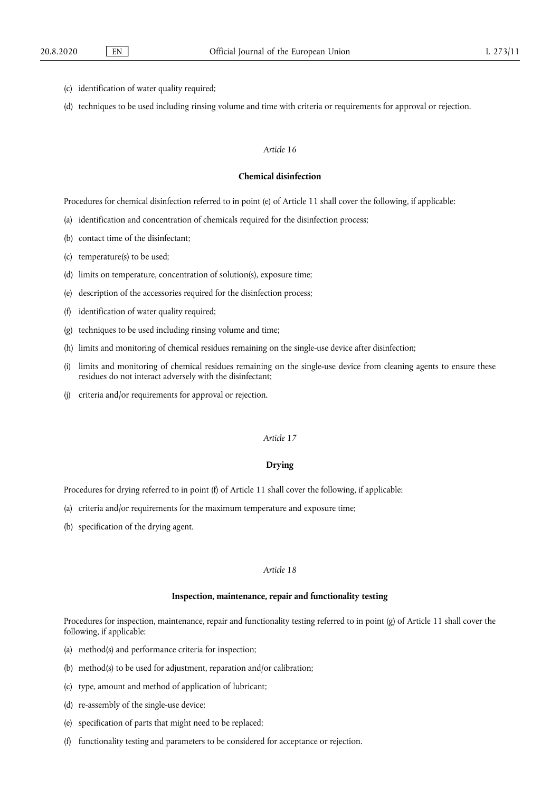- (c) identification of water quality required;
- (d) techniques to be used including rinsing volume and time with criteria or requirements for approval or rejection.

#### **Chemical disinfection**

Procedures for chemical disinfection referred to in point (e) of Article 11 shall cover the following, if applicable:

- (a) identification and concentration of chemicals required for the disinfection process;
- (b) contact time of the disinfectant;
- (c) temperature(s) to be used;
- (d) limits on temperature, concentration of solution(s), exposure time;
- (e) description of the accessories required for the disinfection process;
- (f) identification of water quality required;
- (g) techniques to be used including rinsing volume and time;
- (h) limits and monitoring of chemical residues remaining on the single-use device after disinfection;
- (i) limits and monitoring of chemical residues remaining on the single-use device from cleaning agents to ensure these residues do not interact adversely with the disinfectant;
- (j) criteria and/or requirements for approval or rejection.

# *Article 17*

# **Drying**

Procedures for drying referred to in point (f) of Article 11 shall cover the following, if applicable:

- (a) criteria and/or requirements for the maximum temperature and exposure time;
- (b) specification of the drying agent.

## *Article 18*

## **Inspection, maintenance, repair and functionality testing**

Procedures for inspection, maintenance, repair and functionality testing referred to in point (g) of Article 11 shall cover the following, if applicable:

- (a) method(s) and performance criteria for inspection;
- (b) method(s) to be used for adjustment, reparation and/or calibration;
- (c) type, amount and method of application of lubricant;
- (d) re-assembly of the single-use device;
- (e) specification of parts that might need to be replaced;
- (f) functionality testing and parameters to be considered for acceptance or rejection.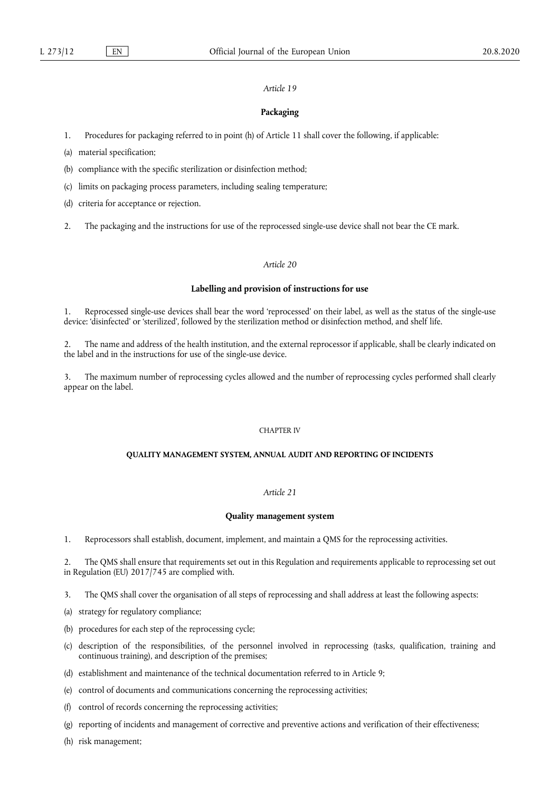## **Packaging**

1. Procedures for packaging referred to in point (h) of Article 11 shall cover the following, if applicable:

(a) material specification;

(b) compliance with the specific sterilization or disinfection method;

(c) limits on packaging process parameters, including sealing temperature;

(d) criteria for acceptance or rejection.

2. The packaging and the instructions for use of the reprocessed single-use device shall not bear the CE mark.

# *Article 20*

#### **Labelling and provision of instructions for use**

1. Reprocessed single-use devices shall bear the word 'reprocessed' on their label, as well as the status of the single-use device: 'disinfected' or 'sterilized', followed by the sterilization method or disinfection method, and shelf life.

2. The name and address of the health institution, and the external reprocessor if applicable, shall be clearly indicated on the label and in the instructions for use of the single-use device.

3. The maximum number of reprocessing cycles allowed and the number of reprocessing cycles performed shall clearly appear on the label.

## CHAPTER IV

#### **QUALITY MANAGEMENT SYSTEM, ANNUAL AUDIT AND REPORTING OF INCIDENTS**

# *Article 21*

#### **Quality management system**

1. Reprocessors shall establish, document, implement, and maintain a QMS for the reprocessing activities.

2. The QMS shall ensure that requirements set out in this Regulation and requirements applicable to reprocessing set out in Regulation (EU) 2017/745 are complied with.

3. The QMS shall cover the organisation of all steps of reprocessing and shall address at least the following aspects:

(a) strategy for regulatory compliance;

(b) procedures for each step of the reprocessing cycle;

- (c) description of the responsibilities, of the personnel involved in reprocessing (tasks, qualification, training and continuous training), and description of the premises;
- (d) establishment and maintenance of the technical documentation referred to in Article 9;
- (e) control of documents and communications concerning the reprocessing activities;
- (f) control of records concerning the reprocessing activities;
- (g) reporting of incidents and management of corrective and preventive actions and verification of their effectiveness;
- (h) risk management;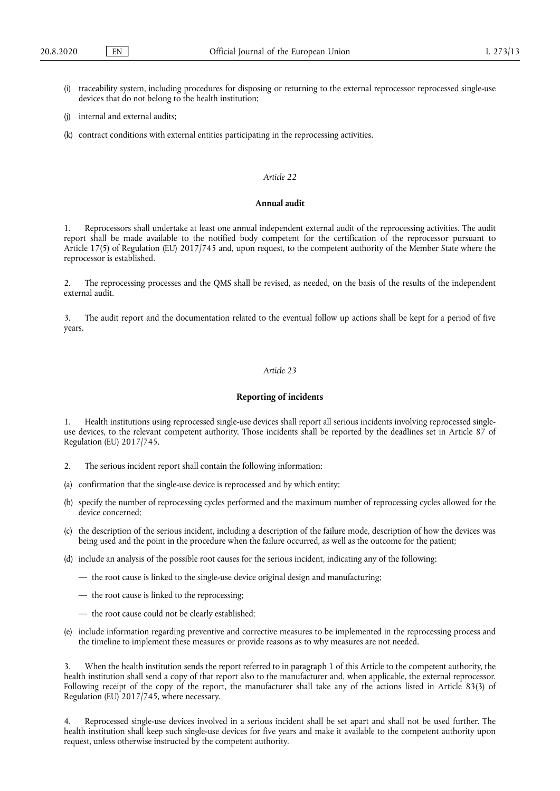- (i) traceability system, including procedures for disposing or returning to the external reprocessor reprocessed single-use devices that do not belong to the health institution;
- (j) internal and external audits;
- (k) contract conditions with external entities participating in the reprocessing activities.

## **Annual audit**

1. Reprocessors shall undertake at least one annual independent external audit of the reprocessing activities. The audit report shall be made available to the notified body competent for the certification of the reprocessor pursuant to Article 17(5) of Regulation (EU) 2017/745 and, upon request, to the competent authority of the Member State where the reprocessor is established.

2. The reprocessing processes and the QMS shall be revised, as needed, on the basis of the results of the independent external audit.

3. The audit report and the documentation related to the eventual follow up actions shall be kept for a period of five years.

## *Article 23*

#### **Reporting of incidents**

1. Health institutions using reprocessed single-use devices shall report all serious incidents involving reprocessed singleuse devices, to the relevant competent authority. Those incidents shall be reported by the deadlines set in Article 87 of Regulation (EU) 2017/745.

- 2. The serious incident report shall contain the following information:
- (a) confirmation that the single-use device is reprocessed and by which entity;
- (b) specify the number of reprocessing cycles performed and the maximum number of reprocessing cycles allowed for the device concerned;
- (c) the description of the serious incident, including a description of the failure mode, description of how the devices was being used and the point in the procedure when the failure occurred, as well as the outcome for the patient;
- (d) include an analysis of the possible root causes for the serious incident, indicating any of the following:
	- the root cause is linked to the single-use device original design and manufacturing;
	- the root cause is linked to the reprocessing;
	- the root cause could not be clearly established;
- (e) include information regarding preventive and corrective measures to be implemented in the reprocessing process and the timeline to implement these measures or provide reasons as to why measures are not needed.

3. When the health institution sends the report referred to in paragraph 1 of this Article to the competent authority, the health institution shall send a copy of that report also to the manufacturer and, when applicable, the external reprocessor. Following receipt of the copy of the report, the manufacturer shall take any of the actions listed in Article 83(3) of Regulation (EU) 2017/745, where necessary.

4. Reprocessed single-use devices involved in a serious incident shall be set apart and shall not be used further. The health institution shall keep such single-use devices for five years and make it available to the competent authority upon request, unless otherwise instructed by the competent authority.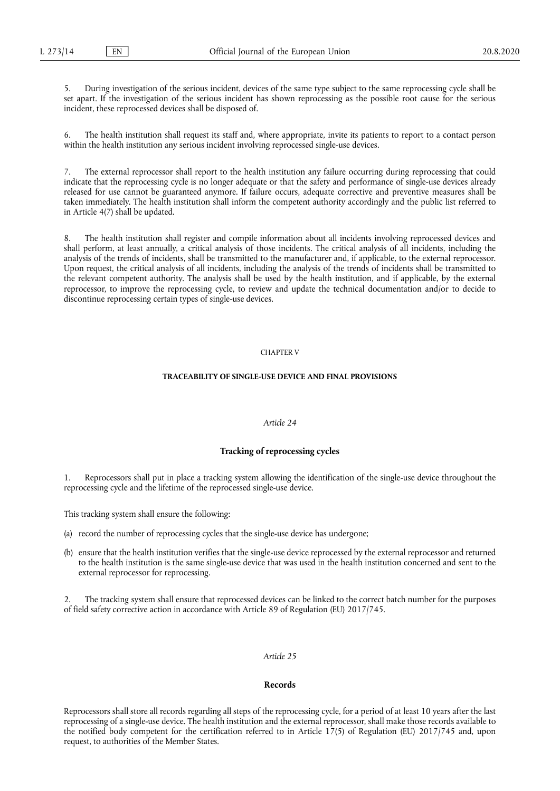5. During investigation of the serious incident, devices of the same type subject to the same reprocessing cycle shall be set apart. If the investigation of the serious incident has shown reprocessing as the possible root cause for the serious incident, these reprocessed devices shall be disposed of.

6. The health institution shall request its staff and, where appropriate, invite its patients to report to a contact person within the health institution any serious incident involving reprocessed single-use devices.

7. The external reprocessor shall report to the health institution any failure occurring during reprocessing that could indicate that the reprocessing cycle is no longer adequate or that the safety and performance of single-use devices already released for use cannot be guaranteed anymore. If failure occurs, adequate corrective and preventive measures shall be taken immediately. The health institution shall inform the competent authority accordingly and the public list referred to in Article 4(7) shall be updated.

8. The health institution shall register and compile information about all incidents involving reprocessed devices and shall perform, at least annually, a critical analysis of those incidents. The critical analysis of all incidents, including the analysis of the trends of incidents, shall be transmitted to the manufacturer and, if applicable, to the external reprocessor. Upon request, the critical analysis of all incidents, including the analysis of the trends of incidents shall be transmitted to the relevant competent authority. The analysis shall be used by the health institution, and if applicable, by the external reprocessor, to improve the reprocessing cycle, to review and update the technical documentation and/or to decide to discontinue reprocessing certain types of single-use devices.

#### CHAPTER V

#### **TRACEABILITY OF SINGLE-USE DEVICE AND FINAL PROVISIONS**

#### *Article 24*

### **Tracking of reprocessing cycles**

Reprocessors shall put in place a tracking system allowing the identification of the single-use device throughout the reprocessing cycle and the lifetime of the reprocessed single-use device.

This tracking system shall ensure the following:

- (a) record the number of reprocessing cycles that the single-use device has undergone;
- (b) ensure that the health institution verifies that the single-use device reprocessed by the external reprocessor and returned to the health institution is the same single-use device that was used in the health institution concerned and sent to the external reprocessor for reprocessing.

2. The tracking system shall ensure that reprocessed devices can be linked to the correct batch number for the purposes of field safety corrective action in accordance with Article 89 of Regulation (EU) 2017/745.

#### *Article 25*

#### **Records**

Reprocessors shall store all records regarding all steps of the reprocessing cycle, for a period of at least 10 years after the last reprocessing of a single-use device. The health institution and the external reprocessor, shall make those records available to the notified body competent for the certification referred to in Article 17(5) of Regulation (EU) 2017/745 and, upon request, to authorities of the Member States.